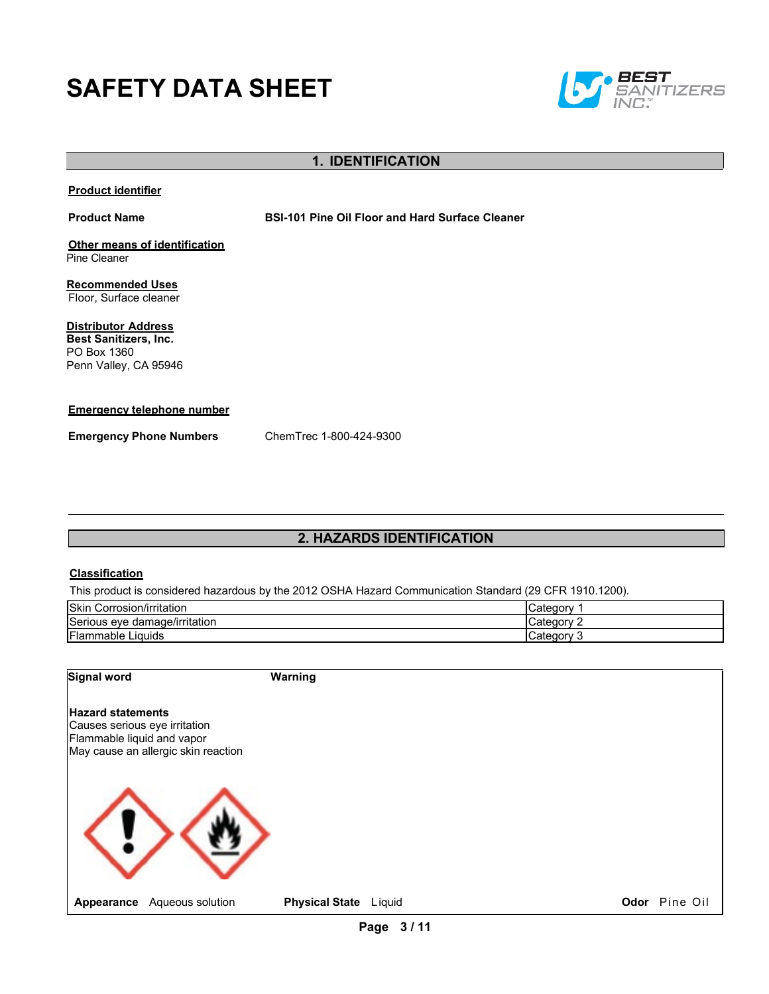# **SAFETY DATA SHEET**



## **1. IDENTIFICATION**

#### **Product identifier**

**Product Name BSI-101 Pine Oil Floor and Hard Surface Cleaner**

**Other means of identification** Pine Cleaner

**Recommended Uses** Floor, Surface cleaner

**Distributor Address Best Sanitizers, Inc.**  PO Box 1360 Penn Valley, CA 95946

#### **Emergency telephone number**

**Emergency Phone Numbers** ChemTrec 1-800-424-9300

## **2. HAZARDS IDENTIFICATION**

#### **Classification**

This product is considered hazardous by the 2012 OSHA Hazard Communication Standard (29 CFR 1910.1200).

| <b>Skin</b><br>$\cdots$<br>.<br>.<br>Corrosion/irritation | ″ ategoryب a  |
|-----------------------------------------------------------|---------------|
| Serious eye damage/irritation                             | ∵ ateqorvٽ    |
| <b>Flammable Liquids</b>                                  | Category<br>. |

| <b>Signal word</b>                                                                      |                                     | <b>Warning</b>        |  |               |
|-----------------------------------------------------------------------------------------|-------------------------------------|-----------------------|--|---------------|
| <b>Hazard statements</b><br>Causes serious eye irritation<br>Flammable liquid and vapor | May cause an allergic skin reaction |                       |  |               |
|                                                                                         |                                     |                       |  |               |
| Appearance                                                                              | Aqueous solution                    | Physical State Liquid |  | Odor Pine Oil |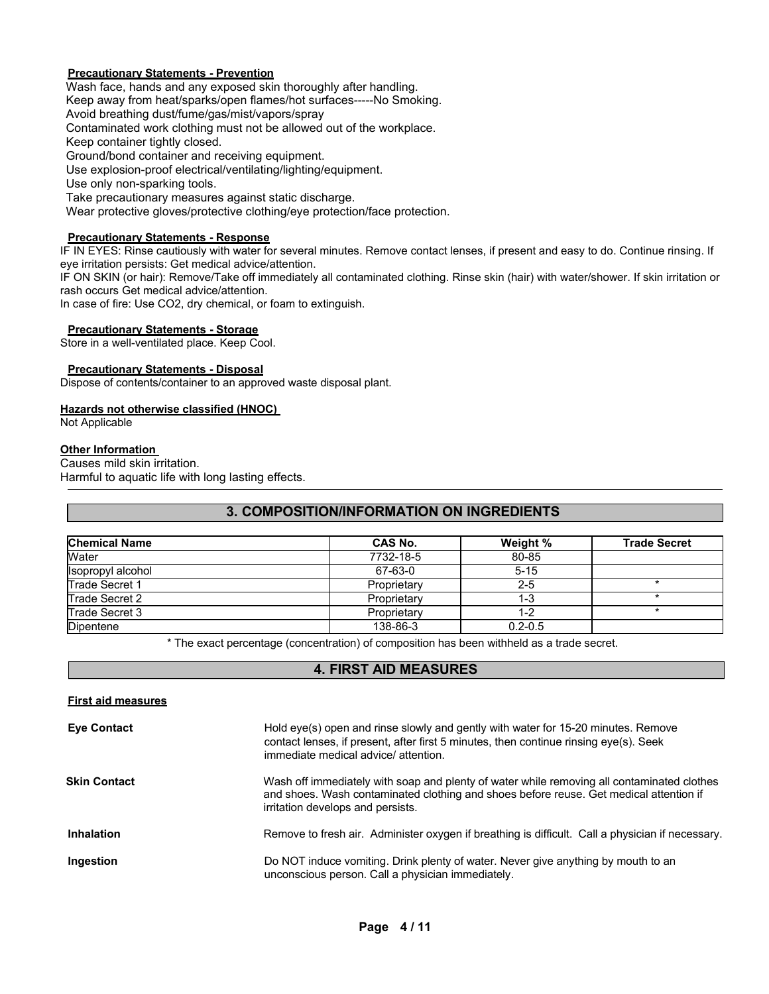#### **Precautionary Statements - Prevention**

Wash face, hands and any exposed skin thoroughly after handling. Keep away from heat/sparks/open flames/hot surfaces-----No Smoking. Avoid breathing dust/fume/gas/mist/vapors/spray Contaminated work clothing must not be allowed out of the workplace. Keep container tightly closed. Ground/bond container and receiving equipment. Use explosion-proof electrical/ventilating/lighting/equipment. Use only non-sparking tools. Take precautionary measures against static discharge. Wear protective gloves/protective clothing/eye protection/face protection.

#### **Precautionary Statements - Response**

IF IN EYES: Rinse cautiously with water for several minutes. Remove contact lenses, if present and easy to do. Continue rinsing. If eye irritation persists: Get medical advice/attention.

IF ON SKIN (or hair): Remove/Take off immediately all contaminated clothing. Rinse skin (hair) with water/shower. If skin irritation or rash occurs Get medical advice/attention.

In case of fire: Use CO2, dry chemical, or foam to extinguish.

#### **Precautionary Statements - Storage**

Store in a well-ventilated place. Keep Cool.

#### **Precautionary Statements - Disposal**

Dispose of contents/container to an approved waste disposal plant.

#### **Hazards not otherwise classified (HNOC)**

Not Applicable

#### **Other Information**

Causes mild skin irritation.

Harmful to aquatic life with long lasting effects.

## **3. COMPOSITION/INFORMATION ON INGREDIENTS**

| <b>Chemical Name</b> | CAS No.     | Weight %    | <b>Trade Secret</b> |
|----------------------|-------------|-------------|---------------------|
| Water                | 7732-18-5   | 80-85       |                     |
| Isopropyl alcohol    | 67-63-0     | $5 - 15$    |                     |
| Trade Secret 1       | Proprietary | $2-5$       |                     |
| Trade Secret 2       | Proprietary | $1 - 3$     |                     |
| Trade Secret 3       | Proprietary | 1-2         |                     |
| <b>Dipentene</b>     | 138-86-3    | $0.2 - 0.5$ |                     |

\* The exact percentage (concentration) of composition has been withheld as a trade secret.

## **4. FIRST AID MEASURES**

| Hold eye(s) open and rinse slowly and gently with water for 15-20 minutes. Remove<br>contact lenses, if present, after first 5 minutes, then continue rinsing eye(s). Seek<br>immediate medical advice/attention.         |
|---------------------------------------------------------------------------------------------------------------------------------------------------------------------------------------------------------------------------|
| Wash off immediately with soap and plenty of water while removing all contaminated clothes<br>and shoes. Wash contaminated clothing and shoes before reuse. Get medical attention if<br>irritation develops and persists. |
| Remove to fresh air. Administer oxygen if breathing is difficult. Call a physician if necessary.                                                                                                                          |
| Do NOT induce vomiting. Drink plenty of water. Never give anything by mouth to an<br>unconscious person. Call a physician immediately.                                                                                    |
|                                                                                                                                                                                                                           |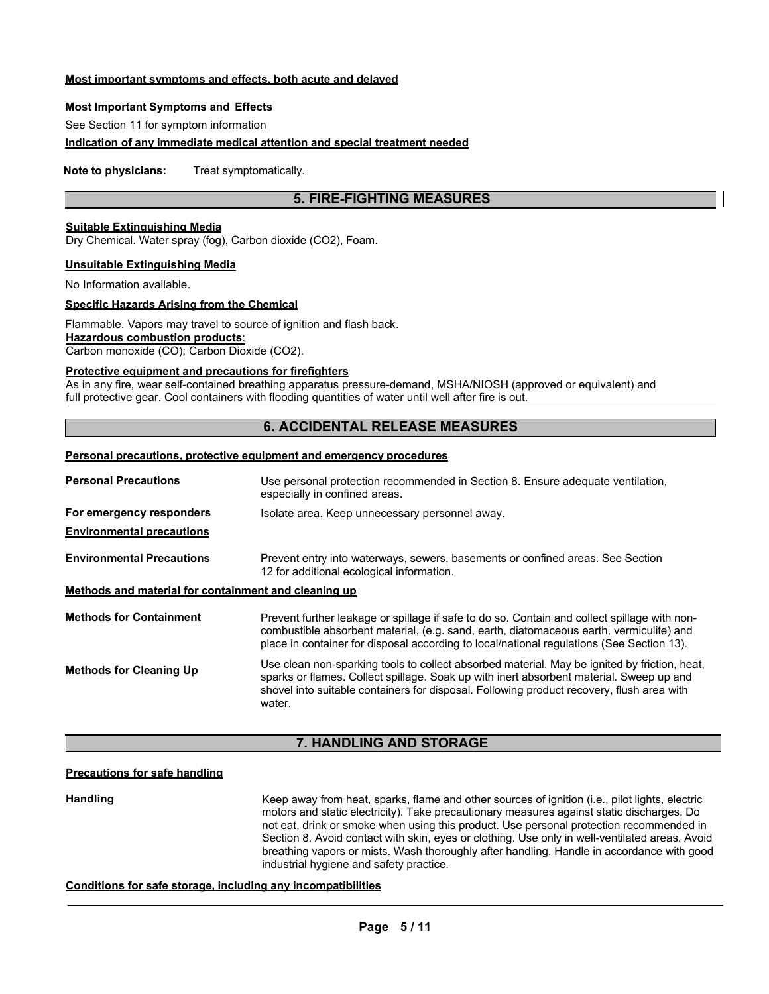#### **Most important symptoms and effects, both acute and delayed**

#### **Most Important Symptoms and Effects**

See Section 11 for symptom information

#### **Indication of any immediate medical attention and special treatment needed**

**Note to physicians:** Treat symptomatically.

## **5. FIRE-FIGHTING MEASURES**

#### **Suitable Extinguishing Media**

Dry Chemical. Water spray (fog), Carbon dioxide (CO2), Foam.

#### **Unsuitable Extinguishing Media**

No Information available.

#### **Specific Hazards Arising from the Chemical**

Flammable. Vapors may travel to source of ignition and flash back. **Hazardous combustion products**:

Carbon monoxide (CO); Carbon Dioxide (CO2).

#### **Protective equipment and precautions for firefighters**

As in any fire, wear self-contained breathing apparatus pressure-demand, MSHA/NIOSH (approved or equivalent) and full protective gear. Cool containers with flooding quantities of water until well after fire is out.

## **6. ACCIDENTAL RELEASE MEASURES**

#### **Personal precautions, protective equipment and emergency procedures**

| <b>Personal Precautions</b>                          | Use personal protection recommended in Section 8. Ensure adequate ventilation,<br>especially in confined areas.                                                                                                                                                                                |
|------------------------------------------------------|------------------------------------------------------------------------------------------------------------------------------------------------------------------------------------------------------------------------------------------------------------------------------------------------|
| For emergency responders                             | Isolate area. Keep unnecessary personnel away.                                                                                                                                                                                                                                                 |
| <b>Environmental precautions</b>                     |                                                                                                                                                                                                                                                                                                |
| <b>Environmental Precautions</b>                     | Prevent entry into waterways, sewers, basements or confined areas. See Section<br>12 for additional ecological information.                                                                                                                                                                    |
| Methods and material for containment and cleaning up |                                                                                                                                                                                                                                                                                                |
| <b>Methods for Containment</b>                       | Prevent further leakage or spillage if safe to do so. Contain and collect spillage with non-<br>combustible absorbent material, (e.g. sand, earth, diatomaceous earth, vermiculite) and<br>place in container for disposal according to local/national regulations (See Section 13).           |
| <b>Methods for Cleaning Up</b>                       | Use clean non-sparking tools to collect absorbed material. May be ignited by friction, heat,<br>sparks or flames. Collect spillage. Soak up with inert absorbent material. Sweep up and<br>shovel into suitable containers for disposal. Following product recovery, flush area with<br>water. |

#### **7. HANDLING AND STORAGE**

## **Precautions for safe handling**

**Handling** Keep away from heat, sparks, flame and other sources of ignition (i.e., pilot lights, electric motors and static electricity). Take precautionary measures against static discharges. Do not eat, drink or smoke when using this product. Use personal protection recommended in Section 8. Avoid contact with skin, eyes or clothing. Use only in well-ventilated areas. Avoid breathing vapors or mists. Wash thoroughly after handling. Handle in accordance with good industrial hygiene and safety practice.

#### **Conditions for safe storage, including any incompatibilities**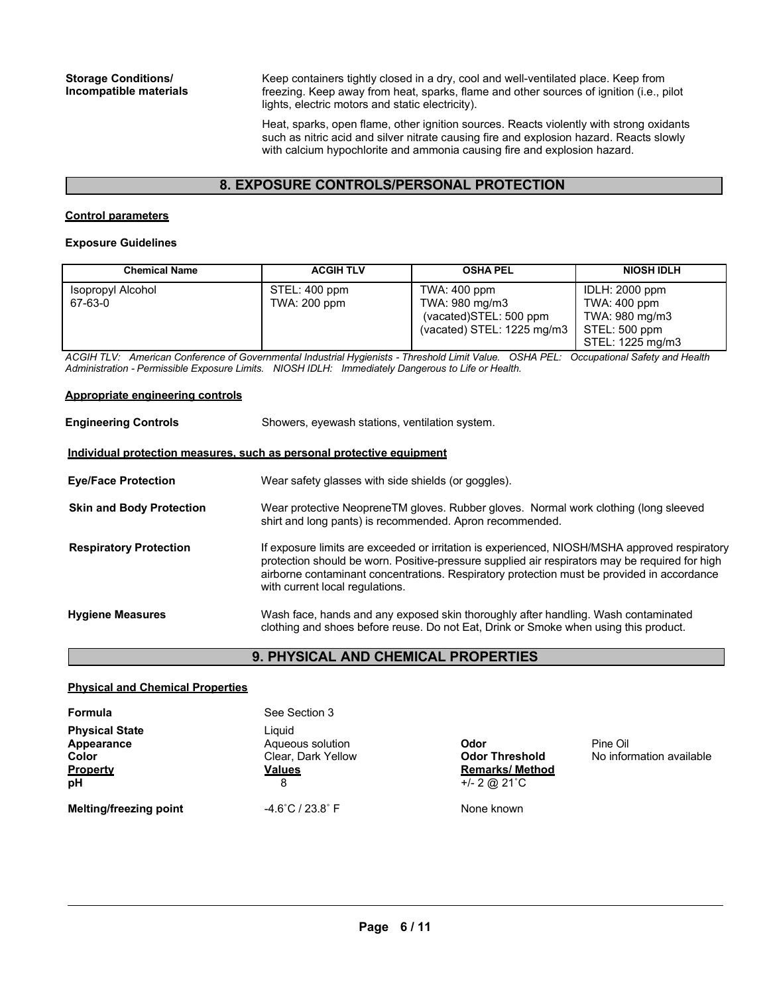Keep containers tightly closed in a dry, cool and well-ventilated place. Keep from freezing. Keep away from heat, sparks, flame and other sources of ignition (i.e., pilot lights, electric motors and static electricity).

Heat, sparks, open flame, other ignition sources. Reacts violently with strong oxidants such as nitric acid and silver nitrate causing fire and explosion hazard. Reacts slowly with calcium hypochlorite and ammonia causing fire and explosion hazard.

## **8. EXPOSURE CONTROLS/PERSONAL PROTECTION**

#### **Control parameters**

#### **Exposure Guidelines**

| <b>Chemical Name</b>         | <b>ACGIH TLV</b>                     | <b>OSHA PEL</b>                                                                                   | <b>NIOSH IDLH</b>                                                                     |
|------------------------------|--------------------------------------|---------------------------------------------------------------------------------------------------|---------------------------------------------------------------------------------------|
| Isopropyl Alcohol<br>67-63-0 | STEL: 400 ppm<br><b>TWA: 200 ppm</b> | TWA: 400 ppm<br>TWA: 980 mg/m3<br>(vacated)STEL: 500 ppm<br>(vacated) STEL: $1225 \text{ mg/m}$ 3 | IDLH: 2000 ppm<br>TWA: 400 ppm<br>TWA: 980 mg/m3<br>STEL: 500 ppm<br>STEL: 1225 mg/m3 |

*ACGIH TLV: American Conference of Governmental Industrial Hygienists - Threshold Limit Value. OSHA PEL: Occupational Safety and Health Administration - Permissible Exposure Limits. NIOSH IDLH: Immediately Dangerous to Life or Health.*

#### **Appropriate engineering controls**

| <b>Engineering Controls</b>                                           | Showers, eyewash stations, ventilation system.                                                                                                                                                                                                                                                                                   |
|-----------------------------------------------------------------------|----------------------------------------------------------------------------------------------------------------------------------------------------------------------------------------------------------------------------------------------------------------------------------------------------------------------------------|
| Individual protection measures, such as personal protective equipment |                                                                                                                                                                                                                                                                                                                                  |
| <b>Eye/Face Protection</b>                                            | Wear safety glasses with side shields (or goggles).                                                                                                                                                                                                                                                                              |
| <b>Skin and Body Protection</b>                                       | Wear protective NeopreneTM gloves. Rubber gloves. Normal work clothing (long sleeved<br>shirt and long pants) is recommended. Apron recommended.                                                                                                                                                                                 |
| <b>Respiratory Protection</b>                                         | If exposure limits are exceeded or irritation is experienced, NIOSH/MSHA approved respiratory<br>protection should be worn. Positive-pressure supplied air respirators may be required for high<br>airborne contaminant concentrations. Respiratory protection must be provided in accordance<br>with current local regulations. |
| <b>Hygiene Measures</b>                                               | Wash face, hands and any exposed skin thoroughly after handling. Wash contaminated<br>clothing and shoes before reuse. Do not Eat, Drink or Smoke when using this product.                                                                                                                                                       |

## **9. PHYSICAL AND CHEMICAL PROPERTIES**

#### **Physical and Chemical Properties**

| Formula                                                               | See Section 3                                                          |                                                                            |                                      |
|-----------------------------------------------------------------------|------------------------------------------------------------------------|----------------------------------------------------------------------------|--------------------------------------|
| <b>Physical State</b><br>Appearance<br>Color<br><b>Property</b><br>рH | Liauid<br>Aqueous solution<br>Clear, Dark Yellow<br><b>Values</b><br>8 | Odor<br><b>Odor Threshold</b><br><b>Remarks/ Method</b><br>$+/- 2$ @ 21 °C | Pine Oil<br>No information available |
| <b>Melting/freezing point</b>                                         | $-4.6^{\circ}$ C / 23.8 $^{\circ}$ F                                   | None known                                                                 |                                      |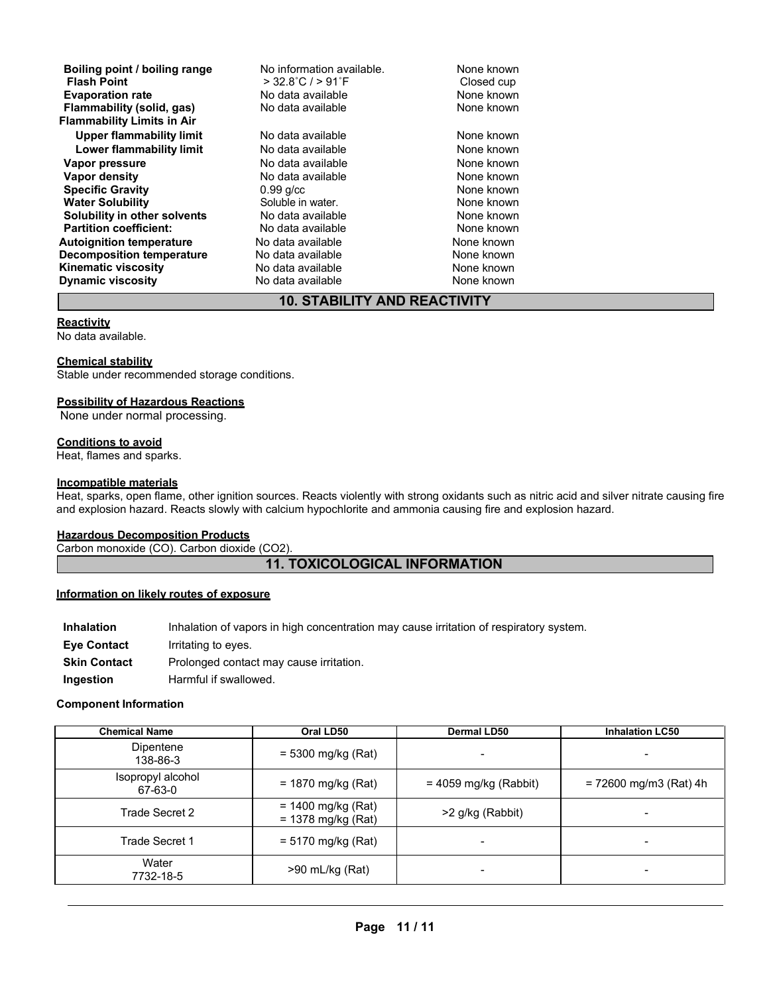| Boiling point / boiling range<br><b>Flash Point</b> | No information available.<br>$>$ 32.8°C / $>$ 91°F | None known<br>Closed cup |
|-----------------------------------------------------|----------------------------------------------------|--------------------------|
| <b>Evaporation rate</b>                             | No data available                                  | None known               |
| Flammability (solid, gas)                           | No data available                                  | None known               |
| <b>Flammability Limits in Air</b>                   |                                                    |                          |
| <b>Upper flammability limit</b>                     | No data available                                  | None known               |
| Lower flammability limit                            | No data available                                  | None known               |
| Vapor pressure                                      | No data available                                  | None known               |
| Vapor density                                       | No data available                                  | None known               |
| <b>Specific Gravity</b>                             | $0.99$ g/cc                                        | None known               |
| <b>Water Solubility</b>                             | Soluble in water.                                  | None known               |
| Solubility in other solvents                        | No data available                                  | None known               |
| <b>Partition coefficient:</b>                       | No data available                                  | None known               |
| <b>Autoignition temperature</b>                     | No data available                                  | None known               |
| <b>Decomposition temperature</b>                    | No data available                                  | None known               |
| Kinematic viscosity                                 | No data available                                  | None known               |
| <b>Dynamic viscosity</b>                            | No data available                                  | None known               |

## **10. STABILITY AND REACTIVITY**

#### **Reactivity**

No data available.

#### **Chemical stability**

Stable under recommended storage conditions.

#### **Possibility of Hazardous Reactions**

None under normal processing.

#### **Conditions to avoid**

Heat, flames and sparks.

#### **Incompatible materials**

Heat, sparks, open flame, other ignition sources. Reacts violently with strong oxidants such as nitric acid and silver nitrate causing fire and explosion hazard. Reacts slowly with calcium hypochlorite and ammonia causing fire and explosion hazard.

#### **Hazardous Decomposition Products**

Carbon monoxide (CO). Carbon dioxide (CO2).

## **11. TOXICOLOGICAL INFORMATION**

#### **Information on likely routes of exposure**

| <b>Inhalation</b>   | Inhalation of vapors in high concentration may cause irritation of respiratory system. |
|---------------------|----------------------------------------------------------------------------------------|
| <b>Eve Contact</b>  | Irritating to eyes.                                                                    |
| <b>Skin Contact</b> | Prolonged contact may cause irritation.                                                |
| Ingestion           | Harmful if swallowed.                                                                  |

#### **Component Information**

| <b>Chemical Name</b>         | Oral LD50                                    | <b>Dermal LD50</b>      | <b>Inhalation LC50</b>   |
|------------------------------|----------------------------------------------|-------------------------|--------------------------|
| Dipentene<br>138-86-3        | $= 5300$ mg/kg (Rat)                         |                         |                          |
| Isopropyl alcohol<br>67-63-0 | $= 1870$ mg/kg (Rat)                         | $= 4059$ mg/kg (Rabbit) | $= 72600$ mg/m3 (Rat) 4h |
| Trade Secret 2               | $= 1400$ mg/kg (Rat)<br>$= 1378$ mg/kg (Rat) | >2 g/kg (Rabbit)        |                          |
| Trade Secret 1               | $= 5170$ mg/kg (Rat)                         |                         |                          |
| Water<br>7732-18-5           | $>90$ mL/kg (Rat)                            |                         | -                        |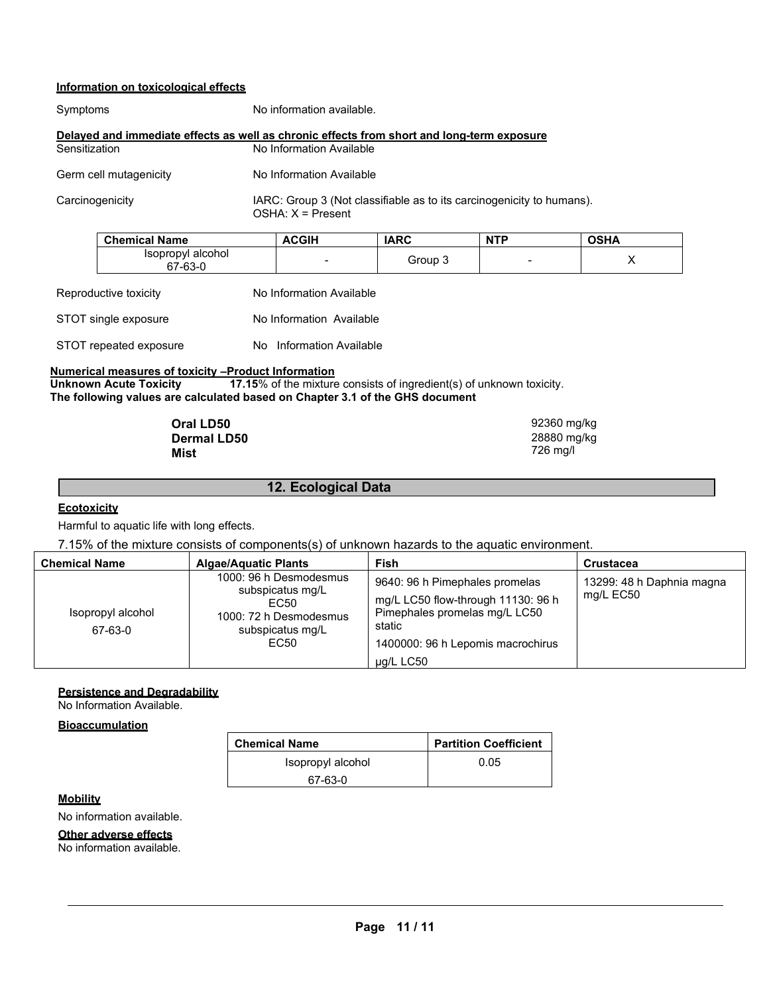## **Information on toxicological effects**

| Symptoms               | No information available.                                                                    |  |
|------------------------|----------------------------------------------------------------------------------------------|--|
|                        | Delayed and immediate effects as well as chronic effects from short and long-term exposure   |  |
| Sensitization          | No Information Available                                                                     |  |
| Germ cell mutagenicity | No Information Available                                                                     |  |
| Carcinogenicity        | IARC: Group 3 (Not classifiable as to its carcinogenicity to humans).<br>$OSHA: X = Present$ |  |

| <b>Chemical Name</b>         | ACGIH  | <b>IARC</b> | <b>NTP</b> | <b>OSHA</b> |
|------------------------------|--------|-------------|------------|-------------|
| Isopropyl alcohol<br>67-63-0 | $\sim$ | Group 3     |            |             |

| Reproductive toxicity  | No Information Available |
|------------------------|--------------------------|
| STOT single exposure   | No Information Available |
| STOT repeated exposure | No Information Available |

## **Numerical measures of toxicity –Product Information<br>Unknown Acute Toxicity 17.15% of the mixture**

**17.15%** of the mixture consists of ingredient(s) of unknown toxicity. **The following values are calculated based on Chapter 3.1 of the GHS document**

| Oral LD50          | 92360 mg/kg |
|--------------------|-------------|
| <b>Dermal LD50</b> | 28880 mg/kg |
| Mist               | 726 mg/l    |

## **Ecotoxicity**

Harmful to aquatic life with long effects.

7.15% of the mixture consists of components(s) of unknown hazards to the aquatic environment.

**12. Ecological Data**

| <b>Chemical Name</b>         | <b>Algae/Aquatic Plants</b>                                                                              | Fish                                                                                                                                                              | <b>Crustacea</b>                       |
|------------------------------|----------------------------------------------------------------------------------------------------------|-------------------------------------------------------------------------------------------------------------------------------------------------------------------|----------------------------------------|
| Isopropyl alcohol<br>67-63-0 | 1000: 96 h Desmodesmus<br>subspicatus mg/L<br>EC50<br>1000: 72 h Desmodesmus<br>subspicatus mg/L<br>EC50 | 9640: 96 h Pimephales promelas<br>mg/L LC50 flow-through 11130: 96 h<br>Pimephales promelas mg/L LC50<br>static<br>1400000: 96 h Lepomis macrochirus<br>µg/L LC50 | 13299: 48 h Daphnia magna<br>mg/L EC50 |

#### **Persistence and Degradability**

No Information Available.

#### **Bioaccumulation**

| <b>Chemical Name</b> | <b>Partition Coefficient</b> |
|----------------------|------------------------------|
| Isopropyl alcohol    | 0.05                         |
| 67-63-0              |                              |

#### **Mobility**

No information available.

#### **Other adverse effects**

No information available.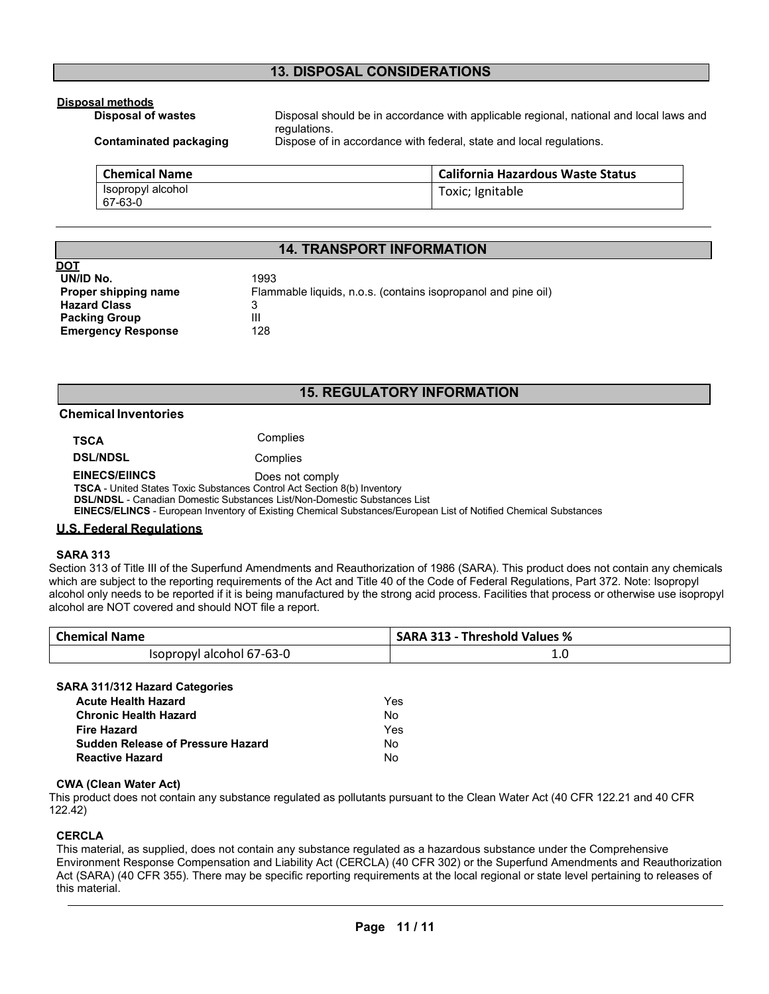## **13. DISPOSAL CONSIDERATIONS**

## **Disposal methods**

Disposal should be in accordance with applicable regional, national and local laws and regulations.

**Contaminated packaging Example 10 Dispose of in accordance with federal, state and local regulations.** 

| <b>Chemical Name</b>         | <b>California Hazardous Waste Status</b> |
|------------------------------|------------------------------------------|
| Isopropyl alcohol<br>67-63-0 | Toxic; Ignitable                         |

## **14. TRANSPORT INFORMATION**

| DOT                       |                                                               |
|---------------------------|---------------------------------------------------------------|
| UN/ID No.                 | 1993                                                          |
| Proper shipping name      | Flammable liquids, n.o.s. (contains isopropanol and pine oil) |
| <b>Hazard Class</b>       |                                                               |
| <b>Packing Group</b>      | Ш                                                             |
| <b>Emergency Response</b> | 128                                                           |

## **15. REGULATORY INFORMATION**

#### **Chemical Inventories**

| <b>TSCA</b>     | Complies |
|-----------------|----------|
| <b>DSL/NDSL</b> | Complies |

**EINECS/EIINCS** Does not comply

**TSCA** - United States Toxic Substances Control Act Section 8(b) Inventory

**DSL/NDSL** - Canadian Domestic Substances List/Non-Domestic Substances List

**EINECS/ELINCS** - European Inventory of Existing Chemical Substances/European List of Notified Chemical Substances

#### **U.S. Federal Regulations**

#### **SARA 313**

Section 313 of Title III of the Superfund Amendments and Reauthorization of 1986 (SARA). This product does not contain any chemicals which are subject to the reporting requirements of the Act and Title 40 of the Code of Federal Regulations, Part 372. Note: Isopropyl alcohol only needs to be reported if it is being manufactured by the strong acid process. Facilities that process or otherwise use isopropyl alcohol are NOT covered and should NOT file a report.

| <b>Chemical Name</b>      | <b>SARA 313 - Threshold Values %</b> |
|---------------------------|--------------------------------------|
| Isopropyl alcohol 67-63-0 | ⊥.∪<br>$\sim$                        |

#### **SARA 311/312 Hazard Categories**

| Acute Health Hazard               | Yes |
|-----------------------------------|-----|
| Chronic Health Hazard             | Nο  |
| Fire Hazard                       | Yes |
| Sudden Release of Pressure Hazard | N٥  |
| Reactive Hazard                   | N٥  |

#### **CWA (Clean Water Act)**

This product does not contain any substance regulated as pollutants pursuant to the Clean Water Act (40 CFR 122.21 and 40 CFR 122.42)

#### **CERCLA**

This material, as supplied, does not contain any substance regulated as a hazardous substance under the Comprehensive Environment Response Compensation and Liability Act (CERCLA) (40 CFR 302) or the Superfund Amendments and Reauthorization Act (SARA) (40 CFR 355). There may be specific reporting requirements at the local regional or state level pertaining to releases of this material.